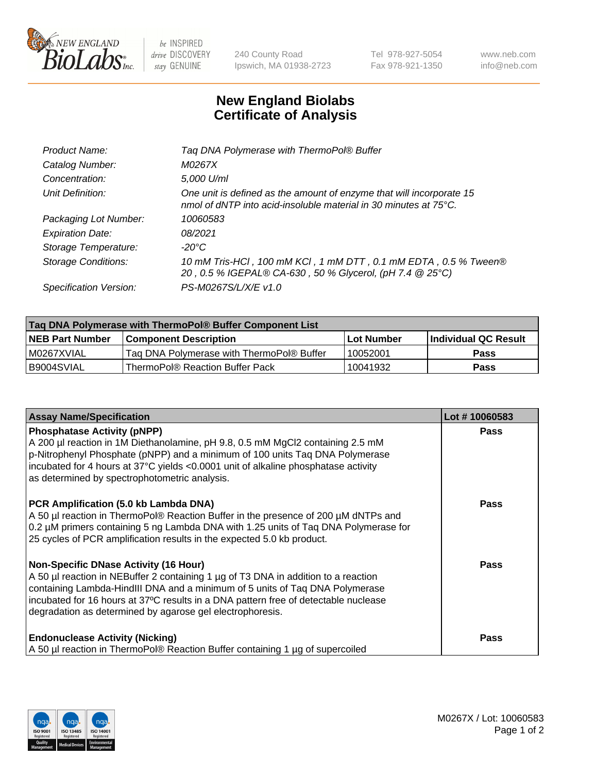

 $be$  INSPIRED drive DISCOVERY stay GENUINE

240 County Road Ipswich, MA 01938-2723 Tel 978-927-5054 Fax 978-921-1350 www.neb.com info@neb.com

## **New England Biolabs Certificate of Analysis**

| Tag DNA Polymerase with ThermoPol® Buffer                                                                                                |
|------------------------------------------------------------------------------------------------------------------------------------------|
| M0267X                                                                                                                                   |
| 5,000 U/ml                                                                                                                               |
| One unit is defined as the amount of enzyme that will incorporate 15<br>nmol of dNTP into acid-insoluble material in 30 minutes at 75°C. |
| 10060583                                                                                                                                 |
| 08/2021                                                                                                                                  |
| $-20^{\circ}$ C                                                                                                                          |
| 10 mM Tris-HCl, 100 mM KCl, 1 mM DTT, 0.1 mM EDTA, 0.5 % Tween®<br>20, 0.5 % IGEPAL® CA-630, 50 % Glycerol, (pH 7.4 @ 25°C)              |
| PS-M0267S/L/X/E v1.0                                                                                                                     |
|                                                                                                                                          |

| Tag DNA Polymerase with ThermoPol® Buffer Component List |                                           |                   |                      |  |
|----------------------------------------------------------|-------------------------------------------|-------------------|----------------------|--|
| <b>NEB Part Number</b>                                   | <b>Component Description</b>              | <b>Lot Number</b> | Individual QC Result |  |
| I M0267XVIAL                                             | Tag DNA Polymerase with ThermoPol® Buffer | 10052001          | Pass                 |  |
| B9004SVIAL                                               | ThermoPol® Reaction Buffer Pack           | 10041932          | Pass                 |  |

| <b>Assay Name/Specification</b>                                                                                                                                                                                                                                                                                                                                 | Lot #10060583 |
|-----------------------------------------------------------------------------------------------------------------------------------------------------------------------------------------------------------------------------------------------------------------------------------------------------------------------------------------------------------------|---------------|
| <b>Phosphatase Activity (pNPP)</b><br>A 200 µl reaction in 1M Diethanolamine, pH 9.8, 0.5 mM MgCl2 containing 2.5 mM<br>$\vert$ p-Nitrophenyl Phosphate (pNPP) and a minimum of 100 units Taq DNA Polymerase<br>incubated for 4 hours at 37°C yields <0.0001 unit of alkaline phosphatase activity<br>as determined by spectrophotometric analysis.             | <b>Pass</b>   |
| <b>PCR Amplification (5.0 kb Lambda DNA)</b><br>A 50 µl reaction in ThermoPol® Reaction Buffer in the presence of 200 µM dNTPs and<br>0.2 µM primers containing 5 ng Lambda DNA with 1.25 units of Taq DNA Polymerase for<br>25 cycles of PCR amplification results in the expected 5.0 kb product.                                                             | <b>Pass</b>   |
| Non-Specific DNase Activity (16 Hour)<br>A 50 µl reaction in NEBuffer 2 containing 1 µg of T3 DNA in addition to a reaction<br>containing Lambda-HindIII DNA and a minimum of 5 units of Taq DNA Polymerase<br>incubated for 16 hours at 37°C results in a DNA pattern free of detectable nuclease<br>degradation as determined by agarose gel electrophoresis. | <b>Pass</b>   |
| <b>Endonuclease Activity (Nicking)</b><br>A 50 µl reaction in ThermoPol® Reaction Buffer containing 1 µg of supercoiled                                                                                                                                                                                                                                         | <b>Pass</b>   |